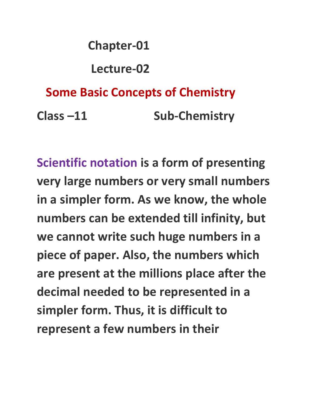# **Chapter-01 Lecture-02 Some Basic Concepts of Chemistry Class –11 Sub-Chemistry**

**Scientific notation is a form of presenting very large numbers or very small numbers in a simpler form. As we know, the whole numbers can be extended till infinity, but we cannot write such huge numbers in a piece of paper. Also, the numbers which are present at the millions place after the decimal needed to be represented in a simpler form. Thus, it is difficult to represent a few numbers in their**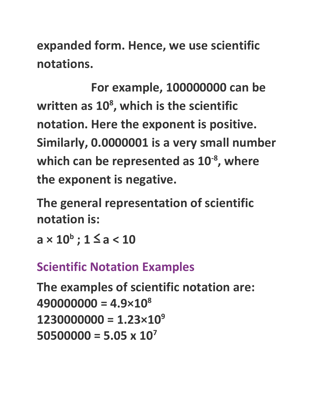**expanded form. Hence, we use scientific notations.**

**For example, 100000000 can be written as 10 8 , which is the scientific notation. Here the exponent is positive. Similarly, 0.0000001 is a very small number which can be represented as 10 -8 , where the exponent is negative.**

**The general representation of scientific notation is:**

**a × 10 b ; 1** ≤ **a < 10**

#### **Scientific Notation Examples**

```
The examples of scientific notation are:
490000000 = 4.9×10
8
12300000000 = 1.23 \times 10^950500000 = 5.05 x 10
7
```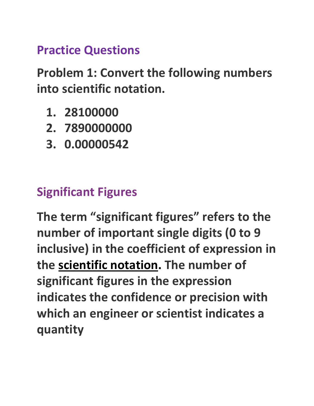#### **Practice Questions**

**Problem 1: Convert the following numbers into scientific notation.**

- **1. 28100000**
- **2. 7890000000**
- **3. 0.00000542**

## **Significant Figures**

**The term "significant figures" refers to the number of important single digits (0 to 9 inclusive) in the coefficient of expression in the scientific notation. The number of significant figures in the expression indicates the confidence or precision with which an engineer or scientist indicates a quantity**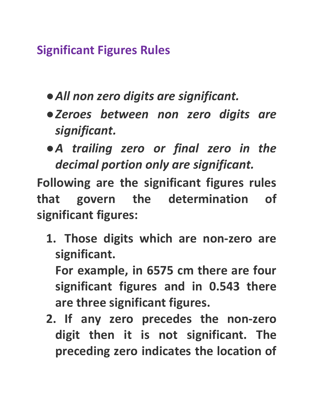**Significant Figures Rules**

- **●***All non zero digits are significant.*
- **●***Zeroes between non zero digits are significant.*
- **●***A trailing zero or final zero in the decimal portion only are significant.*

**Following are the significant figures rules that govern the determination of significant figures:**

**1. Those digits which are non-zero are significant.**

**For example, in 6575 cm there are four significant figures and in 0.543 there are three significant figures.**

**2. If any zero precedes the non-zero digit then it is not significant. The preceding zero indicates the location of**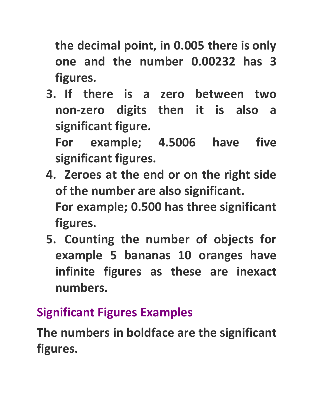**the decimal point, in 0.005 there is only one and the number 0.00232 has 3 figures.**

**3. If there is a zero between two non-zero digits then it is also a significant figure.**

**For example; 4.5006 have five significant figures.**

- **4. Zeroes at the end or on the right side of the number are also significant. For example; 0.500 has three significant figures.**
- **5. Counting the number of objects for example 5 bananas 10 oranges have infinite figures as these are inexact numbers.**

## **Significant Figures Examples**

**The numbers in boldface are the significant figures.**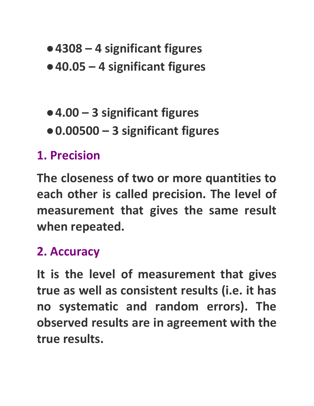- **●4308 – 4 significant figures**
- **●40.05 – 4 significant figures**
- **●4.00 – 3 significant figures**
- **●0.00500 – 3 significant figures**

### **1. Precision**

**The closeness of two or more quantities to each other is called precision. The level of measurement that gives the same result when repeated.**

## **2. Accuracy**

**It is the level of measurement that gives true as well as consistent results (i.e. it has no systematic and random errors). The observed results are in agreement with the true results.**